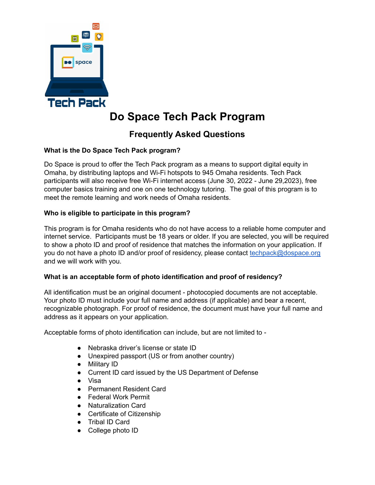

# **Do Space Tech Pack Program**

# **Frequently Asked Questions**

# **What is the Do Space Tech Pack program?**

Do Space is proud to offer the Tech Pack program as a means to support digital equity in Omaha, by distributing laptops and Wi-Fi hotspots to 945 Omaha residents. Tech Pack participants will also receive free Wi-Fi internet access (June 30, 2022 - June 29,2023), free computer basics training and one on one technology tutoring. The goal of this program is to meet the remote learning and work needs of Omaha residents.

# **Who is eligible to participate in this program?**

This program is for Omaha residents who do not have access to a reliable home computer and internet service. Participants must be 18 years or older. If you are selected, you will be required to show a photo ID and proof of residence that matches the information on your application. If you do not have a photo ID and/or proof of residency, please contact [techpack@dospace.org](mailto:techpack@dospace.org) and we will work with you.

# **What is an acceptable form of photo identification and proof of residency?**

All identification must be an original document - photocopied documents are not acceptable. Your photo ID must include your full name and address (if applicable) and bear a recent, recognizable photograph. For proof of residence, the document must have your full name and address as it appears on your application.

Acceptable forms of photo identification can include, but are not limited to -

- Nebraska driver's license or state ID
- Unexpired passport (US or from another country)
- Military ID
- Current ID card issued by the US Department of Defense
- Visa
- Permanent Resident Card
- Federal Work Permit
- Naturalization Card
- Certificate of Citizenship
- Tribal ID Card
- College photo ID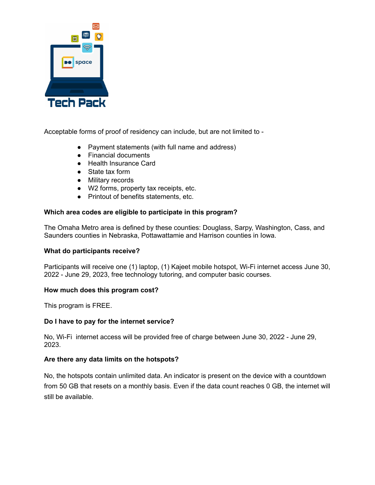

Acceptable forms of proof of residency can include, but are not limited to -

- Payment statements (with full name and address)
- Financial documents
- Health Insurance Card
- State tax form
- Military records
- W2 forms, property tax receipts, etc.
- Printout of benefits statements, etc.

# **Which area codes are eligible to participate in this program?**

The Omaha Metro area is defined by these counties: Douglass, Sarpy, Washington, Cass, and Saunders counties in Nebraska, Pottawattamie and Harrison counties in Iowa.

#### **What do participants receive?**

Participants will receive one (1) laptop, (1) Kajeet mobile hotspot, Wi-Fi internet access June 30, 2022 - June 29, 2023, free technology tutoring, and computer basic courses.

# **How much does this program cost?**

This program is FREE.

#### **Do I have to pay for the internet service?**

No, Wi-Fi internet access will be provided free of charge between June 30, 2022 - June 29, 2023.

# **Are there any data limits on the hotspots?**

No, the hotspots contain unlimited data. An indicator is present on the device with a countdown from 50 GB that resets on a monthly basis. Even if the data count reaches 0 GB, the internet will still be available.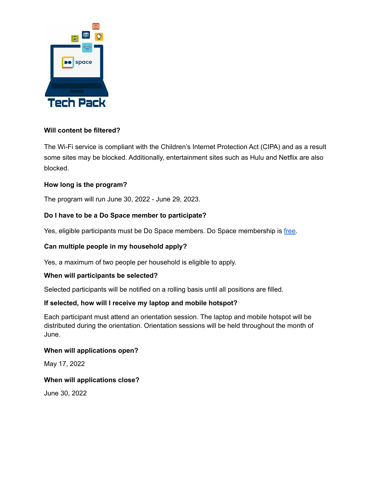

# **Will content be filtered?**

The Wi-Fi service is compliant with the Children's Internet Protection Act (CIPA) and as a result some sites may be blocked. Additionally, entertainment sites such as Hulu and Netflix are also blocked.

# **How long is the program?**

The program will run June 30, 2022 - June 29, 2023.

# **Do I have to be a Do Space member to participate?**

Yes, eligible participants must be Do Space members. Do Space membership is [free.](https://account.dospace.org/cgi-bin/koha/opac-memberentry.pl#)

#### **Can multiple people in my household apply?**

Yes, a maximum of two people per household is eligible to apply.

#### **When will participants be selected?**

Selected participants will be notified on a rolling basis until all positions are filled.

#### **If selected, how will I receive my laptop and mobile hotspot?**

Each participant must attend an orientation session. The laptop and mobile hotspot will be distributed during the orientation. Orientation sessions will be held throughout the month of June.

#### **When will applications open?**

May 17, 2022

#### **When will applications close?**

June 30, 2022